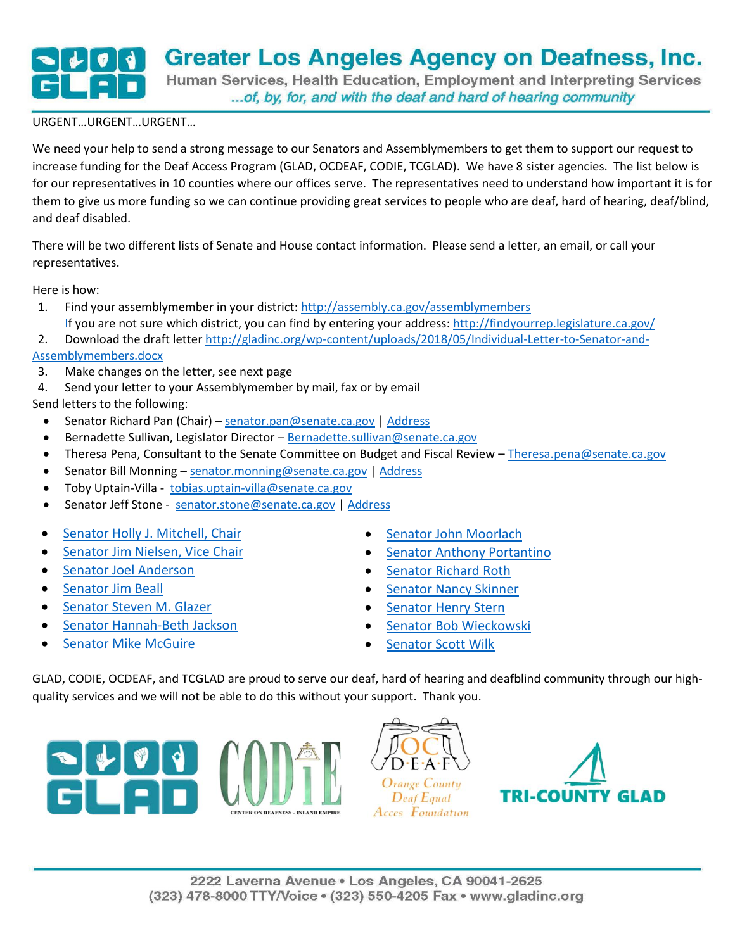## **Greater Los Angeles Agency on Deafness, Inc.** Human Services, Health Education, Employment and Interpreting Services

... of, by, for, and with the deaf and hard of hearing community

## URGENT…URGENT…URGENT…

We need your help to send a strong message to our Senators and Assemblymembers to get them to support our request to increase funding for the Deaf Access Program (GLAD, OCDEAF, CODIE, TCGLAD). We have 8 sister agencies. The list below is for our representatives in 10 counties where our offices serve. The representatives need to understand how important it is for them to give us more funding so we can continue providing great services to people who are deaf, hard of hearing, deaf/blind, and deaf disabled.

There will be two different lists of Senate and House contact information. Please send a letter, an email, or call your representatives.

Here is how:

- 1. Find your assemblymember in your district[: http://assembly.ca.gov/assemblymembers](http://assembly.ca.gov/assemblymembers) If you are not sure which district, you can find by entering your address:<http://findyourrep.legislature.ca.gov/>
- 2. Download the draft letter [http://gladinc.org/wp-content/uploads/2018/05/Individual-Letter-to-Senator-and-](http://gladinc.org/wp-content/uploads/2018/05/Individual-Letter-to-Senator-and-Assemblymembers.docx)[Assemblymembers.docx](http://gladinc.org/wp-content/uploads/2018/05/Individual-Letter-to-Senator-and-Assemblymembers.docx)
- 3. Make changes on the letter, see next page
- 4. Send your letter to your Assemblymember by mail, fax or by email

Send letters to the following:

- Senator Richard Pan (Chair) [senator.pan@senate.ca.gov](mailto:senator.pan@senate.ca.gov) [| Address](http://sd06.senate.ca.gov/contact/email)
- Bernadette Sullivan, Legislator Director [Bernadette.sullivan@senate.ca.gov](mailto:Bernadette.sullivan@senate.ca.gov)
- Theresa Pena, Consultant to the Senate Committee on Budget and Fiscal Review [Theresa.pena@senate.ca.gov](mailto:Theresa.pena@senate.ca.gov)
- Senator Bill Monning [senator.monning@senate.ca.gov](mailto:senator.monning@senate.ca.gov) | [Address](http://sd17.senate.ca.gov/contact-us)
- Toby Uptain-Villa [tobias.uptain-villa@senate.ca.gov](mailto:tobias.uptain-villa@senate.ca.gov)
- Senator Jeff Stone [senator.stone@senate.ca.gov](mailto:senator.stone@senate.ca.gov) [| Address](https://stone.cssrc.us/content/my-offices)
- [Senator Holly J. Mitchell, Chair](http://sd30.senate.ca.gov/contact-holly)
- **Senator [Jim Nielsen, Vice Chair](https://nielsen.cssrc.us/content/my-offices)**
- [Senator Joel Anderson](https://anderson.cssrc.us/content/email-joel)
- Senator Jim Beall
- [Senator Steven M. Glazer](http://sd07.senate.ca.gov/contact)
- **•** [Senator Hannah-Beth Jackson](http://sd19.senate.ca.gov/)
- [Senator Mike McGuire](http://sd02.senate.ca.gov/contact)
- [Senator John Moorlach](https://moorlach.cssrc.us/content/my-offices)
- **•** [Senator Anthony Portantino](http://sd25.senate.ca.gov/contact)
- **•** [Senator Richard Roth](http://sd31.senate.ca.gov/contact-us)
- **Senator Nancy Skinner**
- [Senator Henry Stern](http://sd27.senate.ca.gov/)
- **•** [Senator Bob Wieckowski](http://sd10.senate.ca.gov/contact)
- [Senator Scott Wilk](https://wilk.cssrc.us/my-offices)

GLAD, CODIE, OCDEAF, and TCGLAD are proud to serve our deaf, hard of hearing and deafblind community through our highquality services and we will not be able to do this without your support. Thank you.

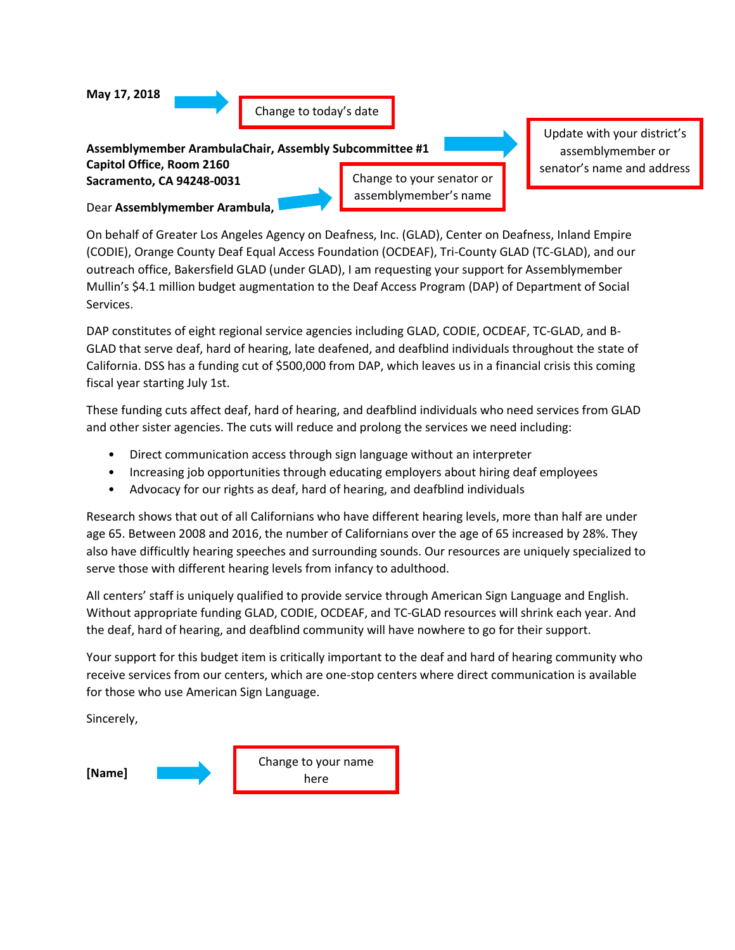

On behalf of Greater Los Angeles Agency on Deafness, Inc. (GLAD), Center on Deafness, Inland Empire (CODIE), Orange County Deaf Equal Access Foundation (OCDEAF), Tri-County GLAD (TC-GLAD), and our outreach office, Bakersfield GLAD (under GLAD), I am requesting your support for Assemblymember Mullin's \$4.1 million budget augmentation to the Deaf Access Program (DAP) of Department of Social Services.

DAP constitutes of eight regional service agencies including GLAD, CODIE, OCDEAF, TC-GLAD, and B-GLAD that serve deaf, hard of hearing, late deafened, and deafblind individuals throughout the state of California. DSS has a funding cut of \$500,000 from DAP, which leaves us in a financial crisis this coming fiscal year starting July 1st.

These funding cuts affect deaf, hard of hearing, and deafblind individuals who need services from GLAD and other sister agencies. The cuts will reduce and prolong the services we need including:

- Direct communication access through sign language without an interpreter
- Increasing job opportunities through educating employers about hiring deaf employees
- Advocacy for our rights as deaf, hard of hearing, and deafblind individuals

Research shows that out of all Californians who have different hearing levels, more than half are under age 65. Between 2008 and 2016, the number of Californians over the age of 65 increased by 28%. They also have difficultly hearing speeches and surrounding sounds. Our resources are uniquely specialized to serve those with different hearing levels from infancy to adulthood.

All centers' staff is uniquely qualified to provide service through American Sign Language and English. Without appropriate funding GLAD, CODIE, OCDEAF, and TC-GLAD resources will shrink each year. And the deaf, hard of hearing, and deafblind community will have nowhere to go for their support.

Your support for this budget item is critically important to the deaf and hard of hearing community who receive services from our centers, which are one-stop centers where direct communication is available for those who use American Sign Language.

Sincerely,